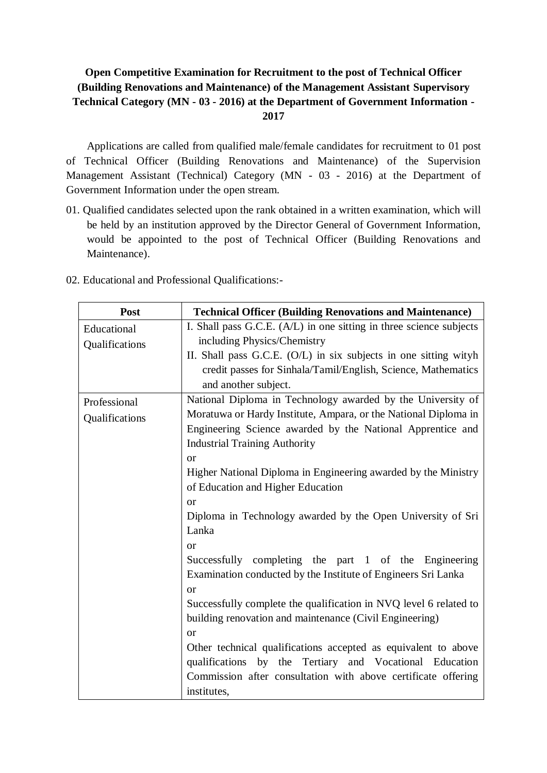# **Open Competitive Examination for Recruitment to the post of Technical Officer (Building Renovations and Maintenance) of the Management Assistant Supervisory Technical Category (MN - 03 - 2016) at the Department of Government Information - 2017**

Applications are called from qualified male/female candidates for recruitment to 01 post of Technical Officer (Building Renovations and Maintenance) of the Supervision Management Assistant (Technical) Category (MN - 03 - 2016) at the Department of Government Information under the open stream.

- 01. Qualified candidates selected upon the rank obtained in a written examination, which will be held by an institution approved by the Director General of Government Information, would be appointed to the post of Technical Officer (Building Renovations and Maintenance).
- 02. Educational and Professional Qualifications:-

| Post           | <b>Technical Officer (Building Renovations and Maintenance)</b>     |  |  |  |
|----------------|---------------------------------------------------------------------|--|--|--|
| Educational    | I. Shall pass G.C.E. (A/L) in one sitting in three science subjects |  |  |  |
| Qualifications | including Physics/Chemistry                                         |  |  |  |
|                | II. Shall pass G.C.E. (O/L) in six subjects in one sitting wityh    |  |  |  |
|                | credit passes for Sinhala/Tamil/English, Science, Mathematics       |  |  |  |
|                | and another subject.                                                |  |  |  |
| Professional   | National Diploma in Technology awarded by the University of         |  |  |  |
| Qualifications | Moratuwa or Hardy Institute, Ampara, or the National Diploma in     |  |  |  |
|                | Engineering Science awarded by the National Apprentice and          |  |  |  |
|                | <b>Industrial Training Authority</b>                                |  |  |  |
|                | <sub>or</sub>                                                       |  |  |  |
|                | Higher National Diploma in Engineering awarded by the Ministry      |  |  |  |
|                | of Education and Higher Education                                   |  |  |  |
|                | <b>or</b>                                                           |  |  |  |
|                | Diploma in Technology awarded by the Open University of Sri         |  |  |  |
|                | Lanka                                                               |  |  |  |
|                | <b>or</b>                                                           |  |  |  |
|                | Successfully completing the part 1 of the Engineering               |  |  |  |
|                | Examination conducted by the Institute of Engineers Sri Lanka       |  |  |  |
|                | <sub>or</sub>                                                       |  |  |  |
|                | Successfully complete the qualification in NVQ level 6 related to   |  |  |  |
|                | building renovation and maintenance (Civil Engineering)             |  |  |  |
|                | or                                                                  |  |  |  |
|                | Other technical qualifications accepted as equivalent to above      |  |  |  |
|                | qualifications by the Tertiary and Vocational Education             |  |  |  |
|                | Commission after consultation with above certificate offering       |  |  |  |
|                | institutes,                                                         |  |  |  |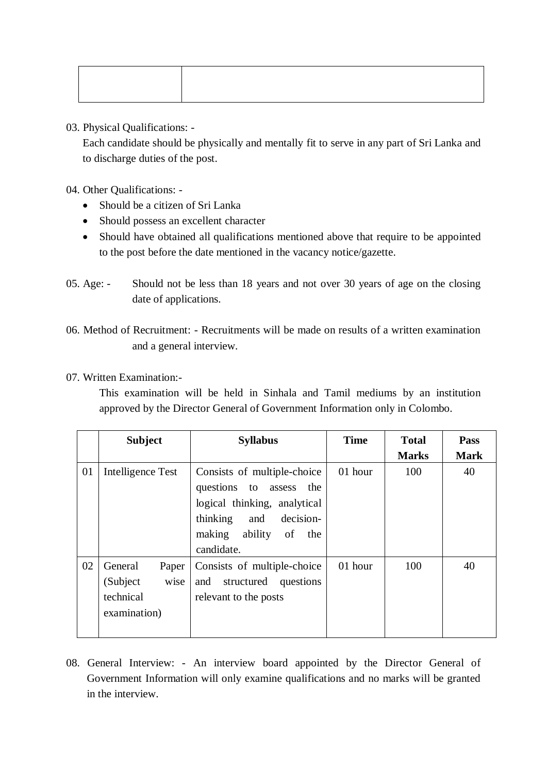03. Physical Qualifications: -

Each candidate should be physically and mentally fit to serve in any part of Sri Lanka and to discharge duties of the post.

04. Other Qualifications: -

- Should be a citizen of Sri Lanka
- Should possess an excellent character
- Should have obtained all qualifications mentioned above that require to be appointed to the post before the date mentioned in the vacancy notice/gazette.
- 05. Age: Should not be less than 18 years and not over 30 years of age on the closing date of applications.
- 06. Method of Recruitment: Recruitments will be made on results of a written examination and a general interview.
- 07. Written Examination:-

This examination will be held in Sinhala and Tamil mediums by an institution approved by the Director General of Government Information only in Colombo.

|    | <b>Subject</b>                                                    | <b>Syllabus</b>                                                                                                                                                           | <b>Time</b> | <b>Total</b> | Pass        |
|----|-------------------------------------------------------------------|---------------------------------------------------------------------------------------------------------------------------------------------------------------------------|-------------|--------------|-------------|
|    |                                                                   |                                                                                                                                                                           |             | <b>Marks</b> | <b>Mark</b> |
| 01 | Intelligence Test                                                 | Consists of multiple-choice<br>questions to assess<br>the<br>logical thinking, analytical<br>decision-<br>thinking<br>and<br>ability<br>making<br>of<br>the<br>candidate. | 01 hour     | 100          | 40          |
| 02 | General<br>Paper<br>wise<br>(Subject<br>technical<br>examination) | Consists of multiple-choice<br>and<br>structured<br>questions<br>relevant to the posts                                                                                    | 01 hour     | 100          | 40          |

08. General Interview: - An interview board appointed by the Director General of Government Information will only examine qualifications and no marks will be granted in the interview.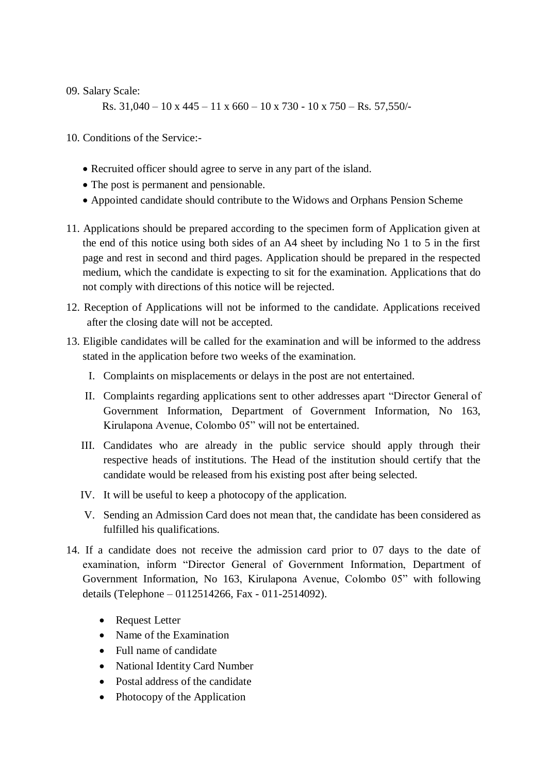#### 09. Salary Scale:

Rs. 31,040 – 10 x 445 – 11 x 660 – 10 x 730 - 10 x 750 – Rs. 57,550/-

10. Conditions of the Service:-

- Recruited officer should agree to serve in any part of the island.
- The post is permanent and pensionable.
- Appointed candidate should contribute to the Widows and Orphans Pension Scheme
- 11. Applications should be prepared according to the specimen form of Application given at the end of this notice using both sides of an A4 sheet by including No 1 to 5 in the first page and rest in second and third pages. Application should be prepared in the respected medium, which the candidate is expecting to sit for the examination. Applications that do not comply with directions of this notice will be rejected.
- 12. Reception of Applications will not be informed to the candidate. Applications received after the closing date will not be accepted.
- 13. Eligible candidates will be called for the examination and will be informed to the address stated in the application before two weeks of the examination.
	- I. Complaints on misplacements or delays in the post are not entertained.
	- II. Complaints regarding applications sent to other addresses apart "Director General of Government Information, Department of Government Information, No 163, Kirulapona Avenue, Colombo 05" will not be entertained.
	- III. Candidates who are already in the public service should apply through their respective heads of institutions. The Head of the institution should certify that the candidate would be released from his existing post after being selected.
	- IV. It will be useful to keep a photocopy of the application.
	- V. Sending an Admission Card does not mean that, the candidate has been considered as fulfilled his qualifications.
- 14. If a candidate does not receive the admission card prior to 07 days to the date of examination, inform "Director General of Government Information, Department of Government Information, No 163, Kirulapona Avenue, Colombo 05" with following details (Telephone – 0112514266, Fax - 011-2514092).
	- Request Letter
	- Name of the Examination
	- Full name of candidate
	- National Identity Card Number
	- Postal address of the candidate
	- Photocopy of the Application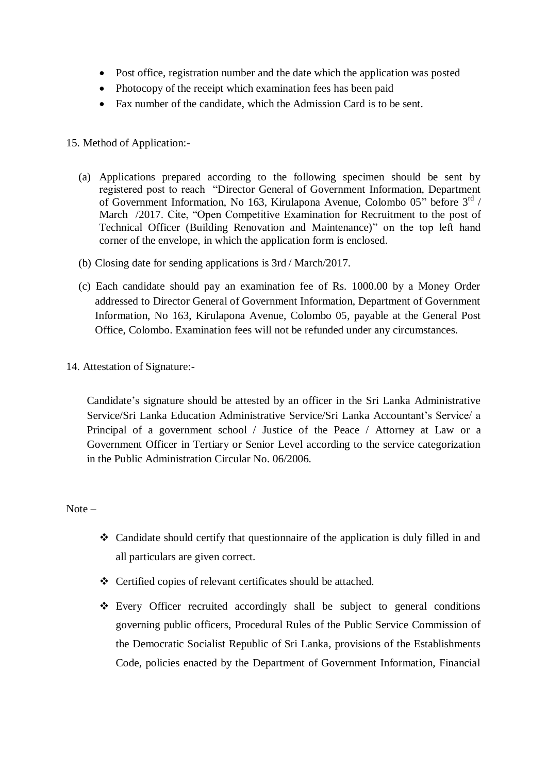- Post office, registration number and the date which the application was posted
- Photocopy of the receipt which examination fees has been paid
- Fax number of the candidate, which the Admission Card is to be sent.

## 15. Method of Application:-

- (a) Applications prepared according to the following specimen should be sent by registered post to reach "Director General of Government Information, Department of Government Information, No 163, Kirulapona Avenue, Colombo 05" before 3<sup>rd</sup> / March /2017. Cite, "Open Competitive Examination for Recruitment to the post of Technical Officer (Building Renovation and Maintenance)" on the top left hand corner of the envelope, in which the application form is enclosed.
- (b) Closing date for sending applications is 3rd / March/2017.
- (c) Each candidate should pay an examination fee of Rs. 1000.00 by a Money Order addressed to Director General of Government Information, Department of Government Information, No 163, Kirulapona Avenue, Colombo 05, payable at the General Post Office, Colombo. Examination fees will not be refunded under any circumstances.
- 14. Attestation of Signature:-

Candidate's signature should be attested by an officer in the Sri Lanka Administrative Service/Sri Lanka Education Administrative Service/Sri Lanka Accountant's Service/ a Principal of a government school / Justice of the Peace / Attorney at Law or a Government Officer in Tertiary or Senior Level according to the service categorization in the Public Administration Circular No. 06/2006.

Note –

- Candidate should certify that questionnaire of the application is duly filled in and all particulars are given correct.
- Certified copies of relevant certificates should be attached.
- Every Officer recruited accordingly shall be subject to general conditions governing public officers, Procedural Rules of the Public Service Commission of the Democratic Socialist Republic of Sri Lanka, provisions of the Establishments Code, policies enacted by the Department of Government Information, Financial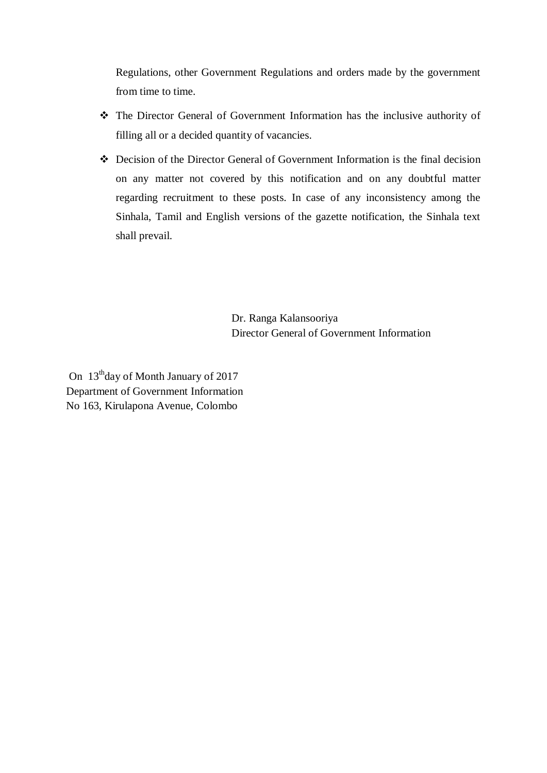Regulations, other Government Regulations and orders made by the government from time to time.

- The Director General of Government Information has the inclusive authority of filling all or a decided quantity of vacancies.
- Decision of the Director General of Government Information is the final decision on any matter not covered by this notification and on any doubtful matter regarding recruitment to these posts. In case of any inconsistency among the Sinhala, Tamil and English versions of the gazette notification, the Sinhala text shall prevail.

Dr. Ranga Kalansooriya Director General of Government Information

On 13<sup>th</sup>day of Month January of 2017 Department of Government Information No 163, Kirulapona Avenue, Colombo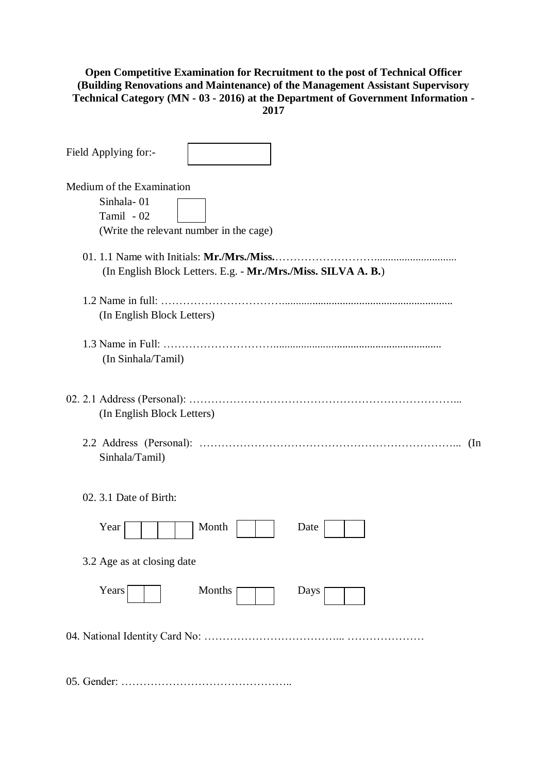#### **Open Competitive Examination for Recruitment to the post of Technical Officer (Building Renovations and Maintenance) of the Management Assistant Supervisory Technical Category (MN - 03 - 2016) at the Department of Government Information - 2017**

| Field Applying for:-                                                                             |
|--------------------------------------------------------------------------------------------------|
| Medium of the Examination<br>Sinhala-01<br>Tamil - 02<br>(Write the relevant number in the cage) |
| (In English Block Letters. E.g. - Mr./Mrs./Miss. SILVA A. B.)                                    |
| (In English Block Letters)                                                                       |
| (In Sinhala/Tamil)                                                                               |
| (In English Block Letters)                                                                       |
| (In<br>Sinhala/Tamil)                                                                            |
| 02. 3.1 Date of Birth:                                                                           |
| Month<br>Year<br>Date                                                                            |
| 3.2 Age as at closing date                                                                       |
| Years<br>Months<br>Days                                                                          |
|                                                                                                  |
|                                                                                                  |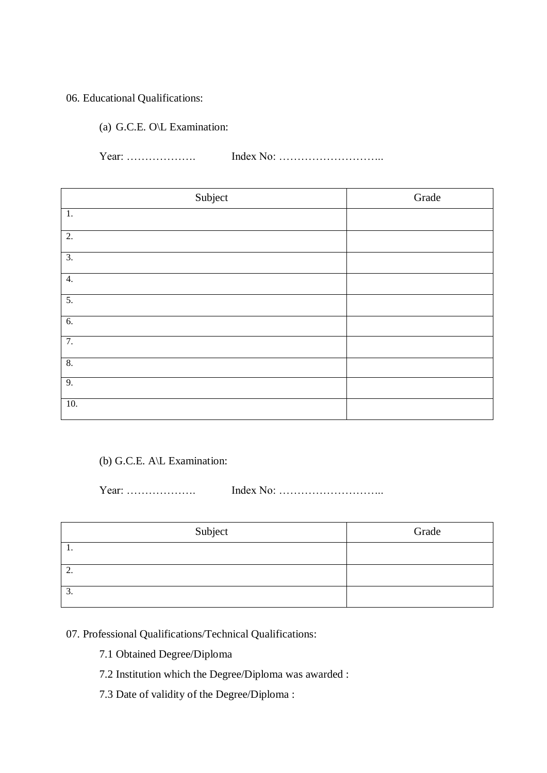### 06. Educational Qualifications:

(a) G.C.E. O\L Examination:

Year: ………………. Index No: ………………………..

| Subject          | Grade |
|------------------|-------|
| $\overline{1}$ . |       |
| $\overline{2}$ . |       |
| $\overline{3}$ . |       |
| 4.               |       |
| 5.               |       |
| $\overline{6}$ . |       |
| 7.               |       |
| $\overline{8}$ . |       |
| 9.               |       |
| 10.              |       |

### (b) G.C.E. A\L Examination:

Year: ………………. Index No: ………………………..

| Subject  | Grade |
|----------|-------|
| . .      |       |
| <u>.</u> |       |
| . ب      |       |

# 07. Professional Qualifications/Technical Qualifications:

- 7.1 Obtained Degree/Diploma
- 7.2 Institution which the Degree/Diploma was awarded :
- 7.3 Date of validity of the Degree/Diploma :